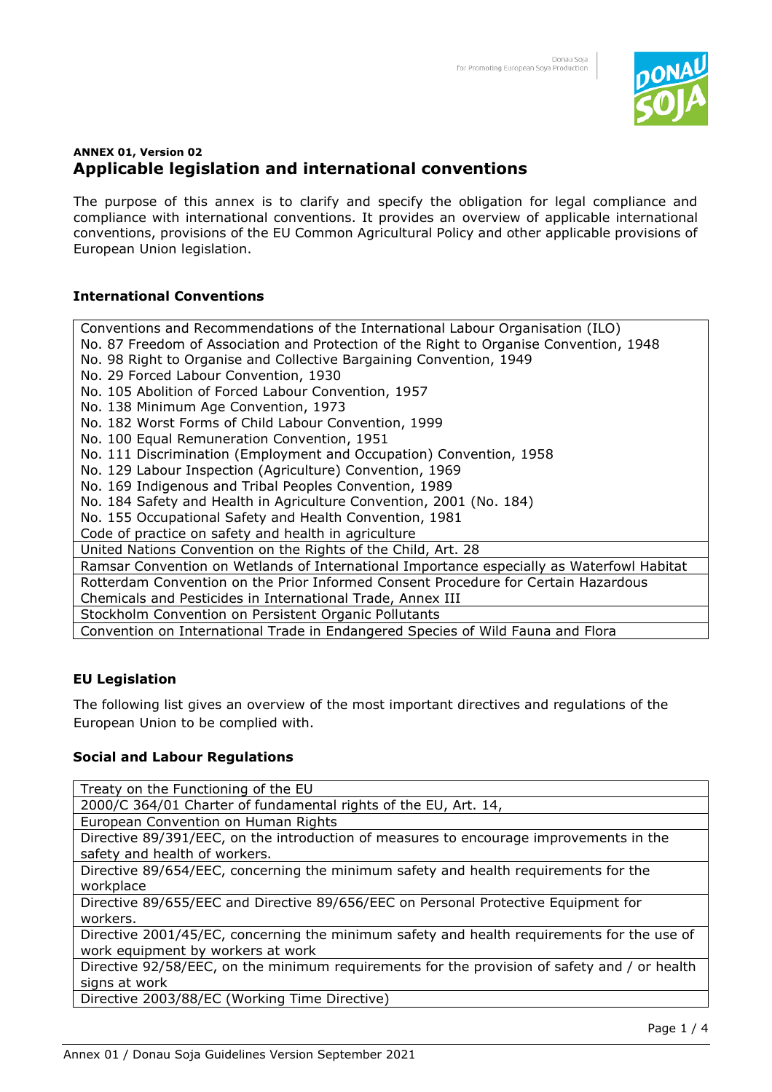

# **ANNEX 01, Version 02 Applicable legislation and international conventions**

The purpose of this annex is to clarify and specify the obligation for legal compliance and compliance with international conventions. It provides an overview of applicable international conventions, provisions of the EU Common Agricultural Policy and other applicable provisions of European Union legislation.

## **International Conventions**

Conventions and Recommendations of the International Labour Organisation (ILO) No. 87 Freedom of Association and Protection of the Right to Organise Convention, 1948 No. 98 Right to Organise and Collective Bargaining Convention, 1949 No. 29 Forced Labour Convention, 1930 No. 105 Abolition of Forced Labour Convention, 1957 No. 138 Minimum Age Convention, 1973 No. 182 Worst Forms of Child Labour Convention, 1999 No. 100 Equal Remuneration Convention, 1951 No. 111 Discrimination (Employment and Occupation) Convention, 1958 No. 129 Labour Inspection (Agriculture) Convention, 1969 No. 169 Indigenous and Tribal Peoples Convention, 1989 No. 184 Safety and Health in Agriculture Convention, 2001 (No. 184) No. 155 Occupational Safety and Health Convention, 1981 Code of practice on safety and health in agriculture United Nations Convention on the Rights of the Child, Art. 28 Ramsar Convention on Wetlands of International Importance especially as Waterfowl Habitat Rotterdam Convention on the Prior Informed Consent Procedure for Certain Hazardous Chemicals and Pesticides in International Trade, Annex III Stockholm Convention on Persistent Organic Pollutants Convention on International Trade in Endangered Species of Wild Fauna and Flora

## **EU Legislation**

The following list gives an overview of the most important directives and regulations of the European Union to be complied with.

#### **Social and Labour Regulations**

Treaty on the Functioning of the EU

2000/C 364/01 Charter of fundamental rights of the EU, Art. 14,

European Convention on Human Rights

Directive 89/391/EEC, on the introduction of measures to encourage improvements in the safety and health of workers.

Directive 89/654/EEC, concerning the minimum safety and health requirements for the workplace

Directive 89/655/EEC and Directive 89/656/EEC on Personal Protective Equipment for workers.

Directive 2001/45/EC, concerning the minimum safety and health requirements for the use of work equipment by workers at work

Directive 92/58/EEC, on the minimum requirements for the provision of safety and / or health signs at work

Directive 2003/88/EC (Working Time Directive)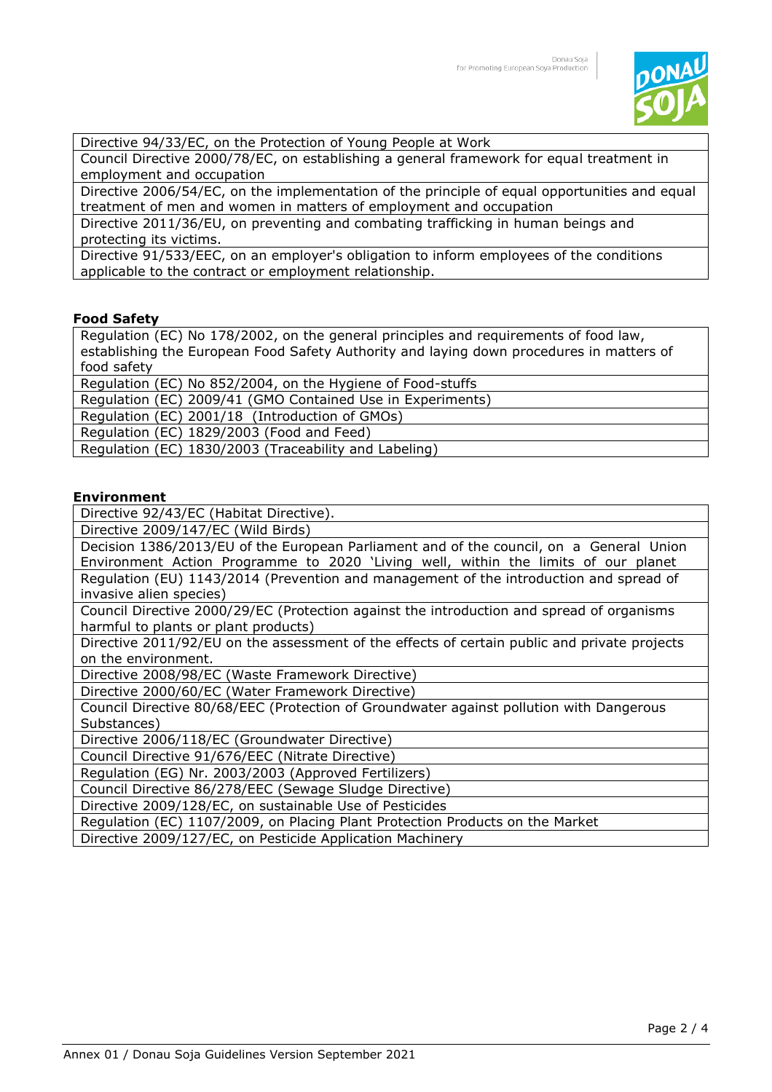

Directive 94/33/EC, on the Protection of Young People at Work

Council Directive 2000/78/EC, on establishing a general framework for equal treatment in employment and occupation

Directive 2006/54/EC, on the implementation of the principle of equal opportunities and equal treatment of men and women in matters of employment and occupation

Directive 2011/36/EU, on preventing and combating trafficking in human beings and protecting its victims.

Directive 91/533/EEC, on an employer's obligation to inform employees of the conditions applicable to the contract or employment relationship.

#### **Food Safety**

Regulation (EC) No 178/2002, on the general principles and requirements of food law, establishing the European Food Safety Authority and laying down procedures in matters of food safety

Regulation (EC) No 852/2004, on the Hygiene of Food-stuffs

Regulation (EC) 2009/41 (GMO Contained Use in Experiments)

Regulation (EC) 2001/18 (Introduction of GMOs)

Regulation (EC) 1829/2003 (Food and Feed)

Regulation (EC) 1830/2003 (Traceability and Labeling)

#### **Environment**

Directive 92/43/EC (Habitat Directive).

Directive 2009/147/EC (Wild Birds)

Decision 1386/2013/EU of the European Parliament and of the council, on a General Union Environment Action Programme to 2020 'Living well, within the limits of our planet Regulation (EU) 1143/2014 (Prevention and management of the introduction and spread of invasive alien species)

Council Directive 2000/29/EC (Protection against the introduction and spread of organisms harmful to plants or plant products)

Directive 2011/92/EU on the assessment of the effects of certain public and private projects on the environment.

Directive 2008/98/EC (Waste Framework Directive)

Directive 2000/60/EC (Water Framework Directive)

Council Directive 80/68/EEC (Protection of Groundwater against pollution with Dangerous Substances)

Directive 2006/118/EC (Groundwater Directive)

Council Directive 91/676/EEC (Nitrate Directive)

Regulation (EG) Nr. 2003/2003 (Approved Fertilizers)

Council Directive 86/278/EEC (Sewage Sludge Directive)

Directive 2009/128/EC, on sustainable Use of Pesticides

Regulation (EC) 1107/2009, on Placing Plant Protection Products on the Market

Directive 2009/127/EC, on Pesticide Application Machinery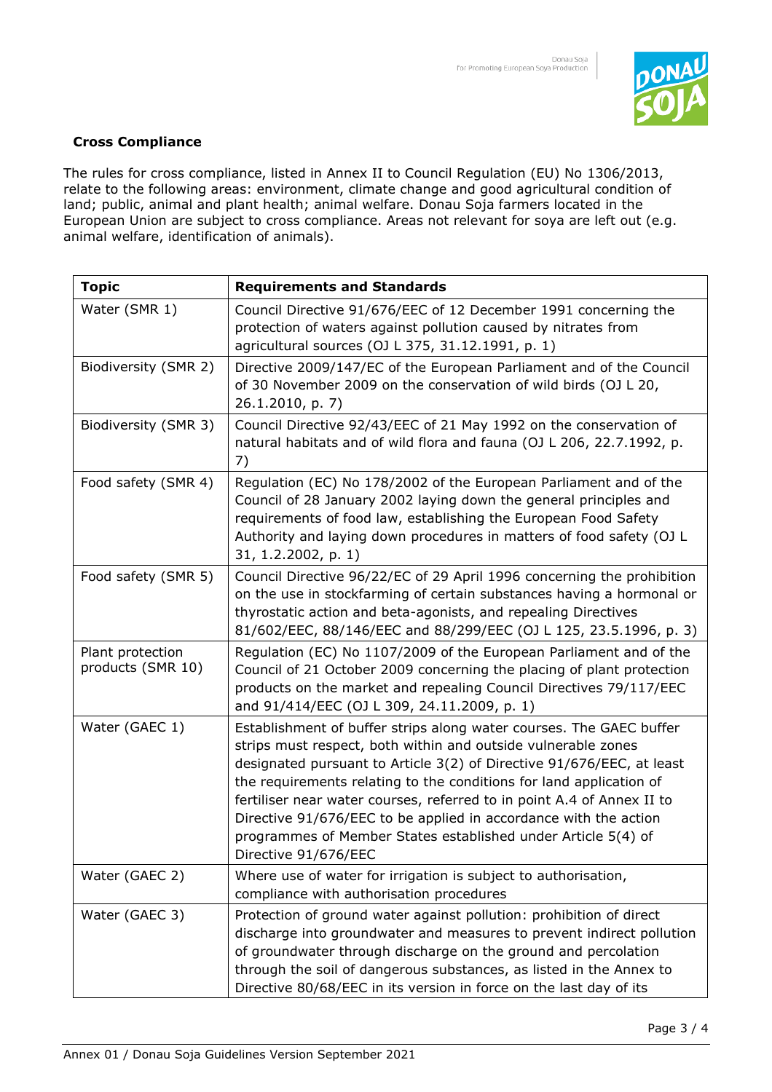

### **Cross Compliance**

The rules for cross compliance, listed in Annex II to Council Regulation (EU) No 1306/2013, relate to the following areas: environment, climate change and good agricultural condition of land; public, animal and plant health; animal welfare. Donau Soja farmers located in the European Union are subject to cross compliance. Areas not relevant for soya are left out (e.g. animal welfare, identification of animals).

| <b>Topic</b>                          | <b>Requirements and Standards</b>                                                                                                                                                                                                                                                                                                                                                                                                                                                                                           |
|---------------------------------------|-----------------------------------------------------------------------------------------------------------------------------------------------------------------------------------------------------------------------------------------------------------------------------------------------------------------------------------------------------------------------------------------------------------------------------------------------------------------------------------------------------------------------------|
| Water (SMR 1)                         | Council Directive 91/676/EEC of 12 December 1991 concerning the<br>protection of waters against pollution caused by nitrates from<br>agricultural sources (OJ L 375, 31.12.1991, p. 1)                                                                                                                                                                                                                                                                                                                                      |
| Biodiversity (SMR 2)                  | Directive 2009/147/EC of the European Parliament and of the Council<br>of 30 November 2009 on the conservation of wild birds (OJ L 20,<br>26.1.2010, p. 7)                                                                                                                                                                                                                                                                                                                                                                  |
| Biodiversity (SMR 3)                  | Council Directive 92/43/EEC of 21 May 1992 on the conservation of<br>natural habitats and of wild flora and fauna (OJ L 206, 22.7.1992, p.<br>7)                                                                                                                                                                                                                                                                                                                                                                            |
| Food safety (SMR 4)                   | Regulation (EC) No 178/2002 of the European Parliament and of the<br>Council of 28 January 2002 laying down the general principles and<br>requirements of food law, establishing the European Food Safety<br>Authority and laying down procedures in matters of food safety (OJ L<br>31, 1.2.2002, p. 1)                                                                                                                                                                                                                    |
| Food safety (SMR 5)                   | Council Directive 96/22/EC of 29 April 1996 concerning the prohibition<br>on the use in stockfarming of certain substances having a hormonal or<br>thyrostatic action and beta-agonists, and repealing Directives<br>81/602/EEC, 88/146/EEC and 88/299/EEC (OJ L 125, 23.5.1996, p. 3)                                                                                                                                                                                                                                      |
| Plant protection<br>products (SMR 10) | Regulation (EC) No 1107/2009 of the European Parliament and of the<br>Council of 21 October 2009 concerning the placing of plant protection<br>products on the market and repealing Council Directives 79/117/EEC<br>and 91/414/EEC (OJ L 309, 24.11.2009, p. 1)                                                                                                                                                                                                                                                            |
| Water (GAEC 1)                        | Establishment of buffer strips along water courses. The GAEC buffer<br>strips must respect, both within and outside vulnerable zones<br>designated pursuant to Article 3(2) of Directive 91/676/EEC, at least<br>the requirements relating to the conditions for land application of<br>fertiliser near water courses, referred to in point A.4 of Annex II to<br>Directive 91/676/EEC to be applied in accordance with the action<br>programmes of Member States established under Article 5(4) of<br>Directive 91/676/EEC |
| Water (GAEC 2)                        | Where use of water for irrigation is subject to authorisation,<br>compliance with authorisation procedures                                                                                                                                                                                                                                                                                                                                                                                                                  |
| Water (GAEC 3)                        | Protection of ground water against pollution: prohibition of direct<br>discharge into groundwater and measures to prevent indirect pollution<br>of groundwater through discharge on the ground and percolation<br>through the soil of dangerous substances, as listed in the Annex to<br>Directive 80/68/EEC in its version in force on the last day of its                                                                                                                                                                 |